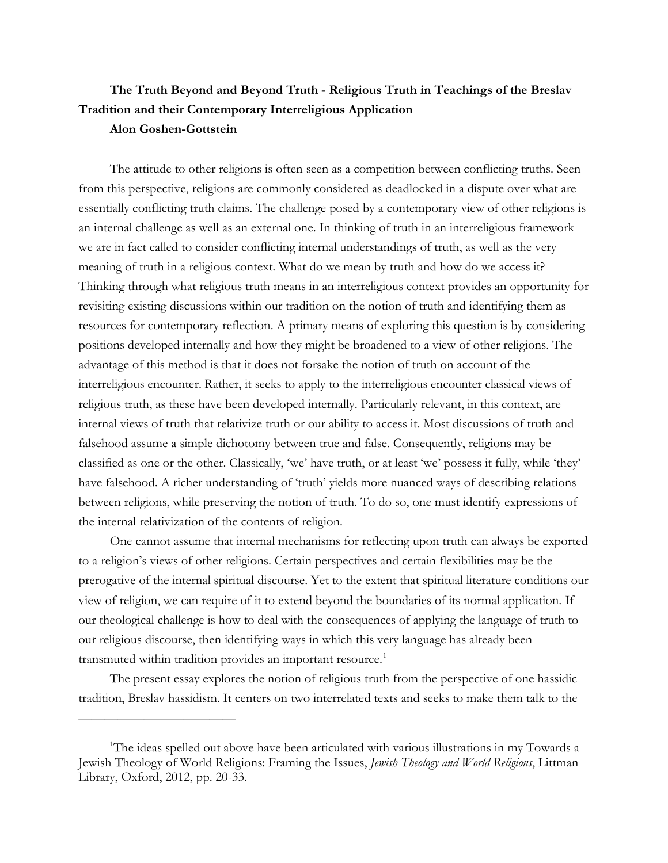# **The Truth Beyond and Beyond Truth - Religious Truth in Teachings of the Breslav Tradition and their Contemporary Interreligious Application Alon Goshen-Gottstein**

The attitude to other religions is often seen as a competition between conflicting truths. Seen from this perspective, religions are commonly considered as deadlocked in a dispute over what are essentially conflicting truth claims. The challenge posed by a contemporary view of other religions is an internal challenge as well as an external one. In thinking of truth in an interreligious framework we are in fact called to consider conflicting internal understandings of truth, as well as the very meaning of truth in a religious context. What do we mean by truth and how do we access it? Thinking through what religious truth means in an interreligious context provides an opportunity for revisiting existing discussions within our tradition on the notion of truth and identifying them as resources for contemporary reflection. A primary means of exploring this question is by considering positions developed internally and how they might be broadened to a view of other religions. The advantage of this method is that it does not forsake the notion of truth on account of the interreligious encounter. Rather, it seeks to apply to the interreligious encounter classical views of religious truth, as these have been developed internally. Particularly relevant, in this context, are internal views of truth that relativize truth or our ability to access it. Most discussions of truth and falsehood assume a simple dichotomy between true and false. Consequently, religions may be classified as one or the other. Classically, 'we' have truth, or at least 'we' possess it fully, while 'they' have falsehood. A richer understanding of 'truth' yields more nuanced ways of describing relations between religions, while preserving the notion of truth. To do so, one must identify expressions of the internal relativization of the contents of religion.

One cannot assume that internal mechanisms for reflecting upon truth can always be exported to a religion's views of other religions. Certain perspectives and certain flexibilities may be the prerogative of the internal spiritual discourse. Yet to the extent that spiritual literature conditions our view of religion, we can require of it to extend beyond the boundaries of its normal application. If our theological challenge is how to deal with the consequences of applying the language of truth to our religious discourse, then identifying ways in which this very language has already been transmuted within tradition provides an important resource.<sup>[1](#page-0-0)</sup>

The present essay explores the notion of religious truth from the perspective of one hassidic tradition, Breslav hassidism. It centers on two interrelated texts and seeks to make them talk to the

<span id="page-0-0"></span><sup>&</sup>lt;sup>1</sup>The ideas spelled out above have been articulated with various illustrations in my Towards a Jewish Theology of World Religions: Framing the Issues, *Jewish Theology and World Religions*, Littman Library, Oxford, 2012, pp. 20-33.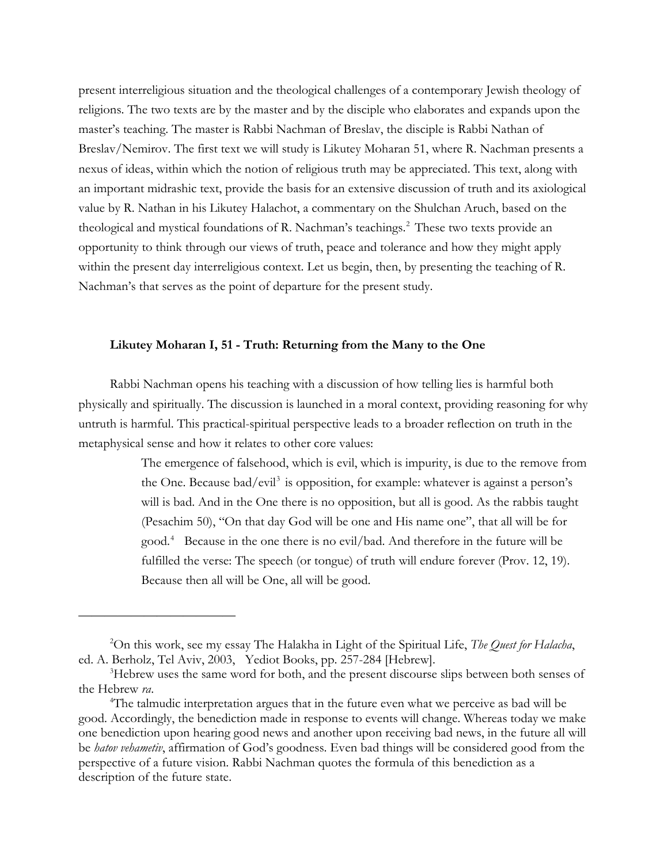present interreligious situation and the theological challenges of a contemporary Jewish theology of religions. The two texts are by the master and by the disciple who elaborates and expands upon the master's teaching. The master is Rabbi Nachman of Breslav, the disciple is Rabbi Nathan of Breslav/Nemirov. The first text we will study is Likutey Moharan 51, where R. Nachman presents a nexus of ideas, within which the notion of religious truth may be appreciated. This text, along with an important midrashic text, provide the basis for an extensive discussion of truth and its axiological value by R. Nathan in his Likutey Halachot, a commentary on the Shulchan Aruch, based on the theological and mystical foundations of R. Nachman's teachings.<sup>[2](#page-1-0)</sup> These two texts provide an opportunity to think through our views of truth, peace and tolerance and how they might apply within the present day interreligious context. Let us begin, then, by presenting the teaching of R. Nachman's that serves as the point of departure for the present study.

### **Likutey Moharan I, 51 - Truth: Returning from the Many to the One**

Rabbi Nachman opens his teaching with a discussion of how telling lies is harmful both physically and spiritually. The discussion is launched in a moral context, providing reasoning for why untruth is harmful. This practical-spiritual perspective leads to a broader reflection on truth in the metaphysical sense and how it relates to other core values:

> The emergence of falsehood, which is evil, which is impurity, is due to the remove from the One. Because bad/evil<sup>[3](#page-1-1)</sup> is opposition, for example: whatever is against a person's will is bad. And in the One there is no opposition, but all is good. As the rabbis taught (Pesachim 50), "On that day God will be one and His name one", that all will be for good.[4](#page-1-2) Because in the one there is no evil/bad. And therefore in the future will be fulfilled the verse: The speech (or tongue) of truth will endure forever (Prov. 12, 19). Because then all will be One, all will be good.

<span id="page-1-0"></span><sup>2</sup> On this work, see my essay The Halakha in Light of the Spiritual Life, *The Quest for Halacha*, ed. A. Berholz, Tel Aviv, 2003, Yediot Books, pp. 257-284 [Hebrew].

<span id="page-1-1"></span><sup>&</sup>lt;sup>3</sup>Hebrew uses the same word for both, and the present discourse slips between both senses of the Hebrew ra.

<span id="page-1-2"></span>The talmudic interpretation argues that in the future even what we perceive as bad will be good. Accordingly, the benediction made in response to events will change. Whereas today we make one benediction upon hearing good news and another upon receiving bad news, in the future all will be *hatov vehametiv*, affirmation of God's goodness. Even bad things will be considered good from the perspective of a future vision. Rabbi Nachman quotes the formula of this benediction as a description of the future state.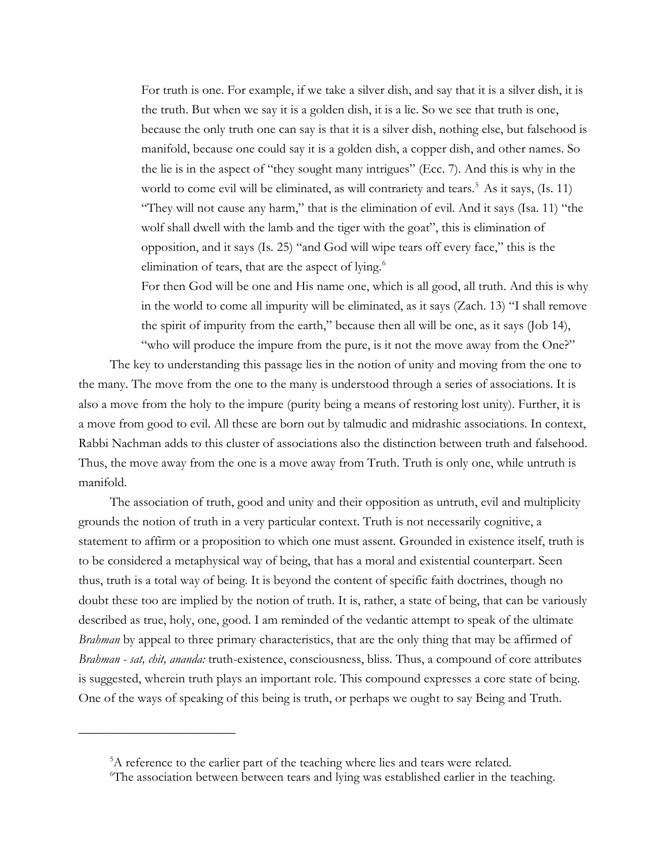For truth is one. For example, if we take a silver dish, and say that it is a silver dish, it is the truth. But when we say it is a golden dish, it is a lie. So we see that truth is one, because the only truth one can say is that it is a silver dish, nothing else, but falsehood is manifold, because one could say it is a golden dish, a copper dish, and other names. So the lie is in the aspect of "they sought many intrigues" (Ecc. 7). And this is why in the world to come evil will be eliminated, as will contrariety and tears.<sup>[5](#page-2-0)</sup> As it says,  $(Is. 11)$ "They will not cause any harm," that is the elimination of evil. And it says (Isa. 11) "the wolf shall dwell with the lamb and the tiger with the goat", this is elimination of opposition, and it says (Is. 25) "and God will wipe tears off every face," this is the elimination of tears, that are the aspect of lying.<sup>6</sup>

For then God will be one and His name one, which is all good, all truth. And this is why in the world to come all impurity will be eliminated, as it says (Zach. 13) "I shall remove the spirit of impurity from the earth," because then all will be one, as it says (Job 14), "who will produce the impure from the pure, is it not the move away from the One?"

The key to understanding this passage lies in the notion of unity and moving from the one to the many. The move from the one to the many is understood through a series of associations. It is also a move from the holy to the impure (purity being a means of restoring lost unity). Further, it is a move from good to evil. All these are born out by talmudic and midrashic associations. In context, Rabbi Nachman adds to this cluster of associations also the distinction between truth and falsehood. Thus, the move away from the one is a move away from Truth. Truth is only one, while untruth is manifold.

The association of truth, good and unity and their opposition as untruth, evil and multiplicity grounds the notion of truth in a very particular context. Truth is not necessarily cognitive, a statement to affirm or a proposition to which one must assent. Grounded in existence itself, truth is to be considered a metaphysical way of being, that has a moral and existential counterpart. Seen thus, truth is a total way of being. It is beyond the content of specific faith doctrines, though no doubt these too are implied by the notion of truth. It is, rather, a state of being, that can be variously described as true, holy, one, good. I am reminded of the vedantic attempt to speak of the ultimate *Brahman* by appeal to three primary characteristics, that are the only thing that may be affirmed of *Brahman - sat, chit, ananda:* truth-existence, consciousness, bliss. Thus, a compound of core attributes is suggested, wherein truth plays an important role. This compound expresses a core state of being. One of the ways of speaking of this being is truth, or perhaps we ought to say Being and Truth.

<span id="page-2-0"></span><sup>&</sup>lt;sup>5</sup>A reference to the earlier part of the teaching where lies and tears were related.

<span id="page-2-1"></span><sup>6</sup> The association between between tears and lying was established earlier in the teaching.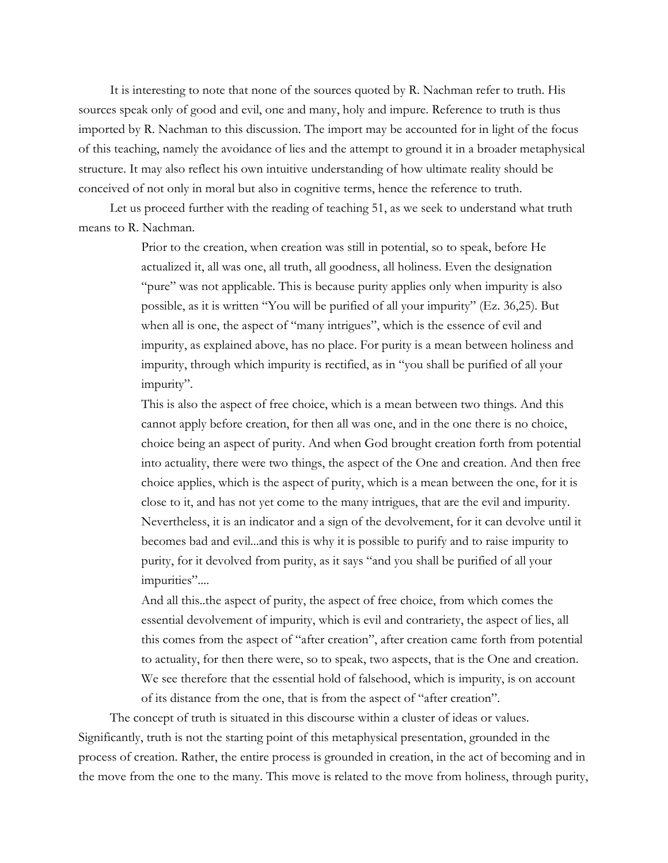It is interesting to note that none of the sources quoted by R. Nachman refer to truth. His sources speak only of good and evil, one and many, holy and impure. Reference to truth is thus imported by R. Nachman to this discussion. The import may be accounted for in light of the focus of this teaching, namely the avoidance of lies and the attempt to ground it in a broader metaphysical structure. It may also reflect his own intuitive understanding of how ultimate reality should be conceived of not only in moral but also in cognitive terms, hence the reference to truth.

Let us proceed further with the reading of teaching 51, as we seek to understand what truth means to R. Nachman.

> Prior to the creation, when creation was still in potential, so to speak, before He actualized it, all was one, all truth, all goodness, all holiness. Even the designation "pure" was not applicable. This is because purity applies only when impurity is also possible, as it is written "You will be purified of all your impurity" (Ez. 36,25). But when all is one, the aspect of "many intrigues", which is the essence of evil and impurity, as explained above, has no place. For purity is a mean between holiness and impurity, through which impurity is rectified, as in "you shall be purified of all your impurity".

This is also the aspect of free choice, which is a mean between two things. And this cannot apply before creation, for then all was one, and in the one there is no choice, choice being an aspect of purity. And when God brought creation forth from potential into actuality, there were two things, the aspect of the One and creation. And then free choice applies, which is the aspect of purity, which is a mean between the one, for it is close to it, and has not yet come to the many intrigues, that are the evil and impurity. Nevertheless, it is an indicator and a sign of the devolvement, for it can devolve until it becomes bad and evil...and this is why it is possible to purify and to raise impurity to purity, for it devolved from purity, as it says "and you shall be purified of all your impurities"....

And all this..the aspect of purity, the aspect of free choice, from which comes the essential devolvement of impurity, which is evil and contrariety, the aspect of lies, all this comes from the aspect of "after creation", after creation came forth from potential to actuality, for then there were, so to speak, two aspects, that is the One and creation. We see therefore that the essential hold of falsehood, which is impurity, is on account of its distance from the one, that is from the aspect of "after creation".

The concept of truth is situated in this discourse within a cluster of ideas or values. Significantly, truth is not the starting point of this metaphysical presentation, grounded in the process of creation. Rather, the entire process is grounded in creation, in the act of becoming and in the move from the one to the many. This move is related to the move from holiness, through purity,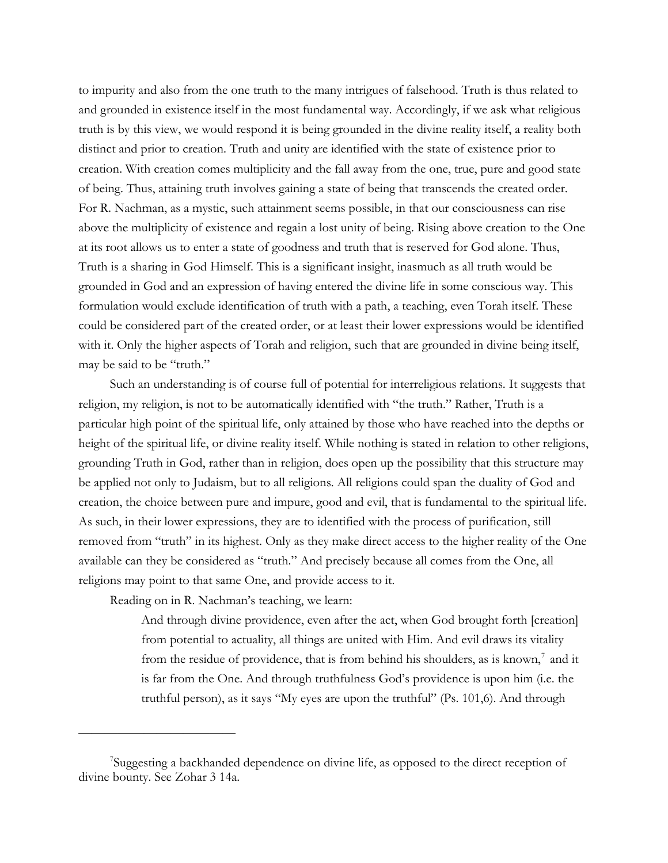to impurity and also from the one truth to the many intrigues of falsehood. Truth is thus related to and grounded in existence itself in the most fundamental way. Accordingly, if we ask what religious truth is by this view, we would respond it is being grounded in the divine reality itself, a reality both distinct and prior to creation. Truth and unity are identified with the state of existence prior to creation. With creation comes multiplicity and the fall away from the one, true, pure and good state of being. Thus, attaining truth involves gaining a state of being that transcends the created order. For R. Nachman, as a mystic, such attainment seems possible, in that our consciousness can rise above the multiplicity of existence and regain a lost unity of being. Rising above creation to the One at its root allows us to enter a state of goodness and truth that is reserved for God alone. Thus, Truth is a sharing in God Himself. This is a significant insight, inasmuch as all truth would be grounded in God and an expression of having entered the divine life in some conscious way. This formulation would exclude identification of truth with a path, a teaching, even Torah itself. These could be considered part of the created order, or at least their lower expressions would be identified with it. Only the higher aspects of Torah and religion, such that are grounded in divine being itself, may be said to be "truth."

Such an understanding is of course full of potential for interreligious relations. It suggests that religion, my religion, is not to be automatically identified with "the truth." Rather, Truth is a particular high point of the spiritual life, only attained by those who have reached into the depths or height of the spiritual life, or divine reality itself. While nothing is stated in relation to other religions, grounding Truth in God, rather than in religion, does open up the possibility that this structure may be applied not only to Judaism, but to all religions. All religions could span the duality of God and creation, the choice between pure and impure, good and evil, that is fundamental to the spiritual life. As such, in their lower expressions, they are to identified with the process of purification, still removed from "truth" in its highest. Only as they make direct access to the higher reality of the One available can they be considered as "truth." And precisely because all comes from the One, all religions may point to that same One, and provide access to it.

Reading on in R. Nachman's teaching, we learn:

————————————

And through divine providence, even after the act, when God brought forth [creation] from potential to actuality, all things are united with Him. And evil draws its vitality from the residue of providence, that is from behind his shoulders, as is known, $<sup>7</sup>$  $<sup>7</sup>$  $<sup>7</sup>$  and it</sup> is far from the One. And through truthfulness God's providence is upon him (i.e. the truthful person), as it says "My eyes are upon the truthful" (Ps. 101,6). And through

<span id="page-4-0"></span><sup>7</sup> Suggesting a backhanded dependence on divine life, as opposed to the direct reception of divine bounty. See Zohar 3 14a.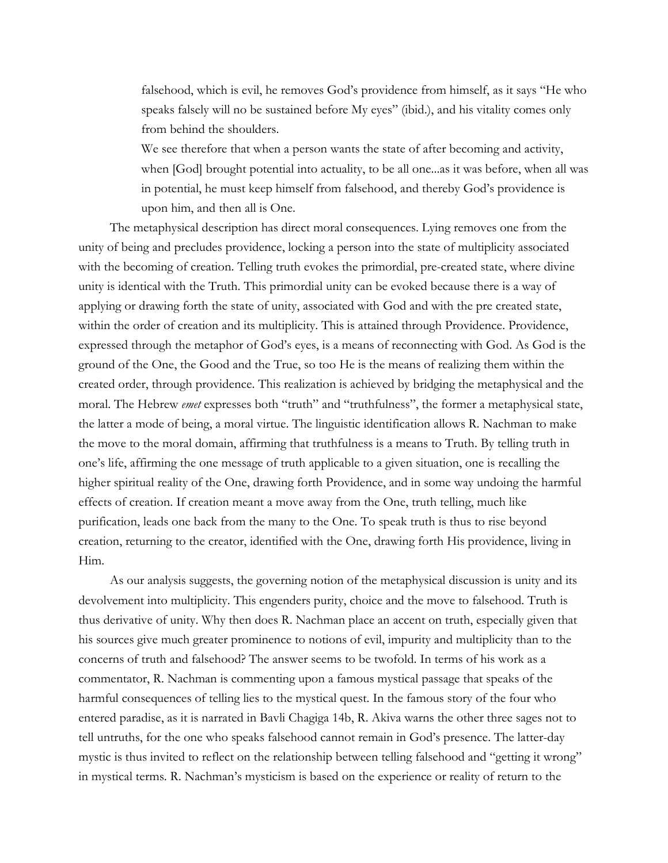falsehood, which is evil, he removes God's providence from himself, as it says "He who speaks falsely will no be sustained before My eyes" (ibid.), and his vitality comes only from behind the shoulders.

We see therefore that when a person wants the state of after becoming and activity, when [God] brought potential into actuality, to be all one...as it was before, when all was in potential, he must keep himself from falsehood, and thereby God's providence is upon him, and then all is One.

The metaphysical description has direct moral consequences. Lying removes one from the unity of being and precludes providence, locking a person into the state of multiplicity associated with the becoming of creation. Telling truth evokes the primordial, pre-created state, where divine unity is identical with the Truth. This primordial unity can be evoked because there is a way of applying or drawing forth the state of unity, associated with God and with the pre created state, within the order of creation and its multiplicity. This is attained through Providence. Providence, expressed through the metaphor of God's eyes, is a means of reconnecting with God. As God is the ground of the One, the Good and the True, so too He is the means of realizing them within the created order, through providence. This realization is achieved by bridging the metaphysical and the moral. The Hebrew *emet* expresses both "truth" and "truthfulness", the former a metaphysical state, the latter a mode of being, a moral virtue. The linguistic identification allows R. Nachman to make the move to the moral domain, affirming that truthfulness is a means to Truth. By telling truth in one's life, affirming the one message of truth applicable to a given situation, one is recalling the higher spiritual reality of the One, drawing forth Providence, and in some way undoing the harmful effects of creation. If creation meant a move away from the One, truth telling, much like purification, leads one back from the many to the One. To speak truth is thus to rise beyond creation, returning to the creator, identified with the One, drawing forth His providence, living in Him.

As our analysis suggests, the governing notion of the metaphysical discussion is unity and its devolvement into multiplicity. This engenders purity, choice and the move to falsehood. Truth is thus derivative of unity. Why then does R. Nachman place an accent on truth, especially given that his sources give much greater prominence to notions of evil, impurity and multiplicity than to the concerns of truth and falsehood? The answer seems to be twofold. In terms of his work as a commentator, R. Nachman is commenting upon a famous mystical passage that speaks of the harmful consequences of telling lies to the mystical quest. In the famous story of the four who entered paradise, as it is narrated in Bavli Chagiga 14b, R. Akiva warns the other three sages not to tell untruths, for the one who speaks falsehood cannot remain in God's presence. The latter-day mystic is thus invited to reflect on the relationship between telling falsehood and "getting it wrong" in mystical terms. R. Nachman's mysticism is based on the experience or reality of return to the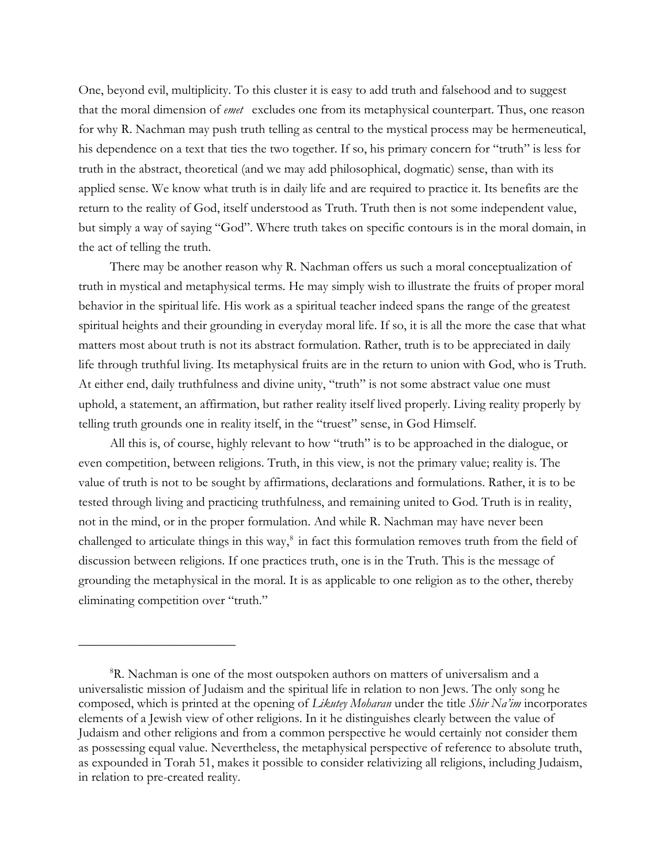One, beyond evil, multiplicity. To this cluster it is easy to add truth and falsehood and to suggest that the moral dimension of *emet* excludes one from its metaphysical counterpart. Thus, one reason for why R. Nachman may push truth telling as central to the mystical process may be hermeneutical, his dependence on a text that ties the two together. If so, his primary concern for "truth" is less for truth in the abstract, theoretical (and we may add philosophical, dogmatic) sense, than with its applied sense. We know what truth is in daily life and are required to practice it. Its benefits are the return to the reality of God, itself understood as Truth. Truth then is not some independent value, but simply a way of saying "God". Where truth takes on specific contours is in the moral domain, in the act of telling the truth.

There may be another reason why R. Nachman offers us such a moral conceptualization of truth in mystical and metaphysical terms. He may simply wish to illustrate the fruits of proper moral behavior in the spiritual life. His work as a spiritual teacher indeed spans the range of the greatest spiritual heights and their grounding in everyday moral life. If so, it is all the more the case that what matters most about truth is not its abstract formulation. Rather, truth is to be appreciated in daily life through truthful living. Its metaphysical fruits are in the return to union with God, who is Truth. At either end, daily truthfulness and divine unity, "truth" is not some abstract value one must uphold, a statement, an affirmation, but rather reality itself lived properly. Living reality properly by telling truth grounds one in reality itself, in the "truest" sense, in God Himself.

All this is, of course, highly relevant to how "truth" is to be approached in the dialogue, or even competition, between religions. Truth, in this view, is not the primary value; reality is. The value of truth is not to be sought by affirmations, declarations and formulations. Rather, it is to be tested through living and practicing truthfulness, and remaining united to God. Truth is in reality, not in the mind, or in the proper formulation. And while R. Nachman may have never been challenged to articulate things in this way, $\delta$  in fact this formulation removes truth from the field of discussion between religions. If one practices truth, one is in the Truth. This is the message of grounding the metaphysical in the moral. It is as applicable to one religion as to the other, thereby eliminating competition over "truth."

<span id="page-6-0"></span><sup>&</sup>lt;sup>8</sup>R. Nachman is one of the most outspoken authors on matters of universalism and a universalistic mission of Judaism and the spiritual life in relation to non Jews. The only song he composed, which is printed at the opening of *Likutey Moharan* under the title *Shir Na'im* incorporates elements of a Jewish view of other religions. In it he distinguishes clearly between the value of Judaism and other religions and from a common perspective he would certainly not consider them as possessing equal value. Nevertheless, the metaphysical perspective of reference to absolute truth, as expounded in Torah 51, makes it possible to consider relativizing all religions, including Judaism, in relation to pre-created reality.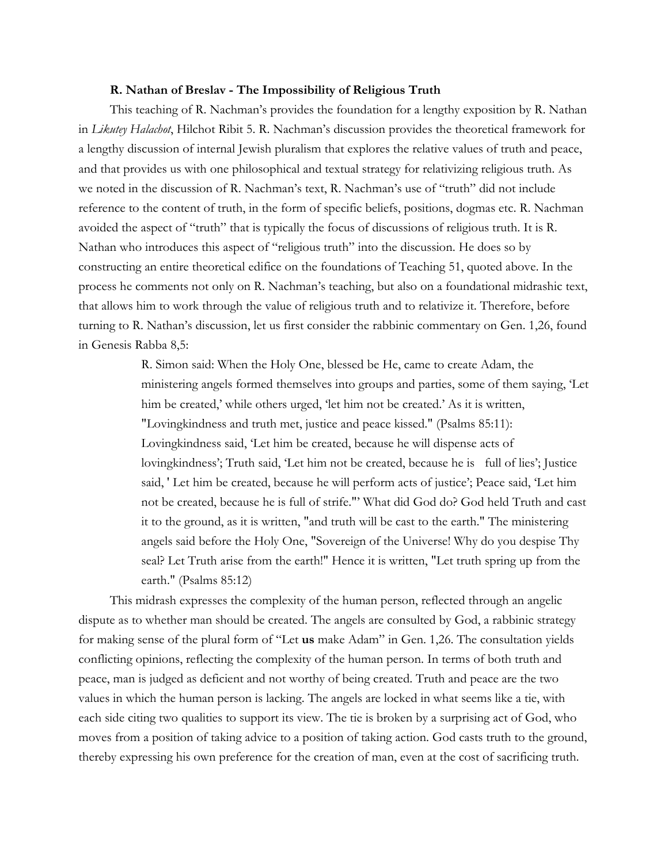#### **R. Nathan of Breslav - The Impossibility of Religious Truth**

This teaching of R. Nachman's provides the foundation for a lengthy exposition by R. Nathan in *Likutey Halachot*, Hilchot Ribit 5. R. Nachman's discussion provides the theoretical framework for a lengthy discussion of internal Jewish pluralism that explores the relative values of truth and peace, and that provides us with one philosophical and textual strategy for relativizing religious truth. As we noted in the discussion of R. Nachman's text, R. Nachman's use of "truth" did not include reference to the content of truth, in the form of specific beliefs, positions, dogmas etc. R. Nachman avoided the aspect of "truth" that is typically the focus of discussions of religious truth. It is R. Nathan who introduces this aspect of "religious truth" into the discussion. He does so by constructing an entire theoretical edifice on the foundations of Teaching 51, quoted above. In the process he comments not only on R. Nachman's teaching, but also on a foundational midrashic text, that allows him to work through the value of religious truth and to relativize it. Therefore, before turning to R. Nathan's discussion, let us first consider the rabbinic commentary on Gen. 1,26, found in Genesis Rabba 8,5:

> R. Simon said: When the Holy One, blessed be He, came to create Adam, the ministering angels formed themselves into groups and parties, some of them saying, 'Let him be created,' while others urged, 'let him not be created.' As it is written, "Lovingkindness and truth met, justice and peace kissed." (Psalms 85:11): Lovingkindness said, 'Let him be created, because he will dispense acts of lovingkindness'; Truth said, 'Let him not be created, because he is full of lies'; Justice said, ' Let him be created, because he will perform acts of justice'; Peace said, 'Let him not be created, because he is full of strife."' What did God do? God held Truth and cast it to the ground, as it is written, "and truth will be cast to the earth." The ministering angels said before the Holy One, "Sovereign of the Universe! Why do you despise Thy seal? Let Truth arise from the earth!" Hence it is written, "Let truth spring up from the earth." (Psalms 85:12)

This midrash expresses the complexity of the human person, reflected through an angelic dispute as to whether man should be created. The angels are consulted by God, a rabbinic strategy for making sense of the plural form of "Let **us** make Adam" in Gen. 1,26. The consultation yields conflicting opinions, reflecting the complexity of the human person. In terms of both truth and peace, man is judged as deficient and not worthy of being created. Truth and peace are the two values in which the human person is lacking. The angels are locked in what seems like a tie, with each side citing two qualities to support its view. The tie is broken by a surprising act of God, who moves from a position of taking advice to a position of taking action. God casts truth to the ground, thereby expressing his own preference for the creation of man, even at the cost of sacrificing truth.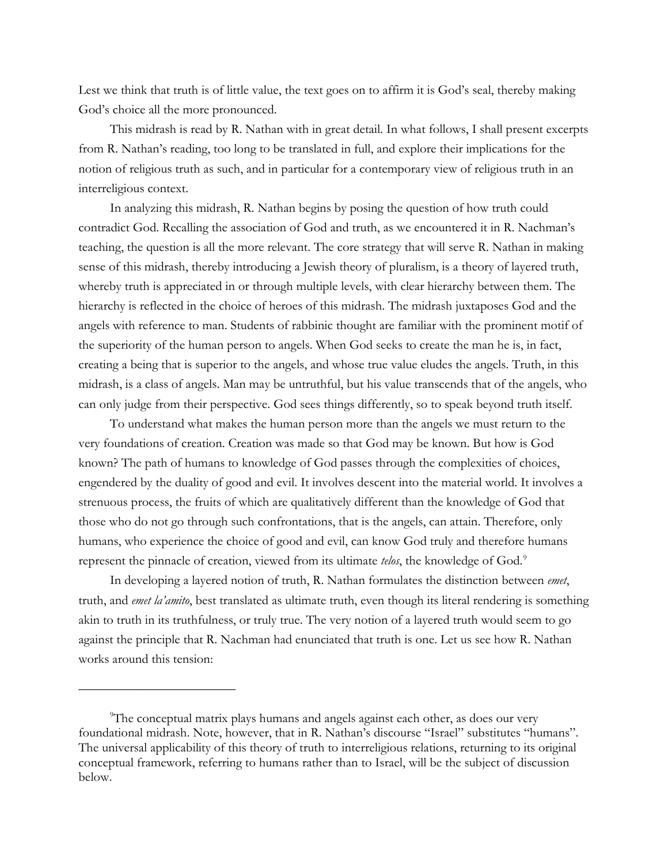Lest we think that truth is of little value, the text goes on to affirm it is God's seal, thereby making God's choice all the more pronounced.

This midrash is read by R. Nathan with in great detail. In what follows, I shall present excerpts from R. Nathan's reading, too long to be translated in full, and explore their implications for the notion of religious truth as such, and in particular for a contemporary view of religious truth in an interreligious context.

In analyzing this midrash, R. Nathan begins by posing the question of how truth could contradict God. Recalling the association of God and truth, as we encountered it in R. Nachman's teaching, the question is all the more relevant. The core strategy that will serve R. Nathan in making sense of this midrash, thereby introducing a Jewish theory of pluralism, is a theory of layered truth, whereby truth is appreciated in or through multiple levels, with clear hierarchy between them. The hierarchy is reflected in the choice of heroes of this midrash. The midrash juxtaposes God and the angels with reference to man. Students of rabbinic thought are familiar with the prominent motif of the superiority of the human person to angels. When God seeks to create the man he is, in fact, creating a being that is superior to the angels, and whose true value eludes the angels. Truth, in this midrash, is a class of angels. Man may be untruthful, but his value transcends that of the angels, who can only judge from their perspective. God sees things differently, so to speak beyond truth itself.

To understand what makes the human person more than the angels we must return to the very foundations of creation. Creation was made so that God may be known. But how is God known? The path of humans to knowledge of God passes through the complexities of choices, engendered by the duality of good and evil. It involves descent into the material world. It involves a strenuous process, the fruits of which are qualitatively different than the knowledge of God that those who do not go through such confrontations, that is the angels, can attain. Therefore, only humans, who experience the choice of good and evil, can know God truly and therefore humans represent the pinnacle of creation, viewed from its ultimate *telos*, the knowledge of God.[9](#page-8-0)

In developing a layered notion of truth, R. Nathan formulates the distinction between *emet*, truth, and *emet la'amito*, best translated as ultimate truth, even though its literal rendering is something akin to truth in its truthfulness, or truly true. The very notion of a layered truth would seem to go against the principle that R. Nachman had enunciated that truth is one. Let us see how R. Nathan works around this tension:

<span id="page-8-0"></span><sup>9</sup> The conceptual matrix plays humans and angels against each other, as does our very foundational midrash. Note, however, that in R. Nathan's discourse "Israel" substitutes "humans". The universal applicability of this theory of truth to interreligious relations, returning to its original conceptual framework, referring to humans rather than to Israel, will be the subject of discussion below.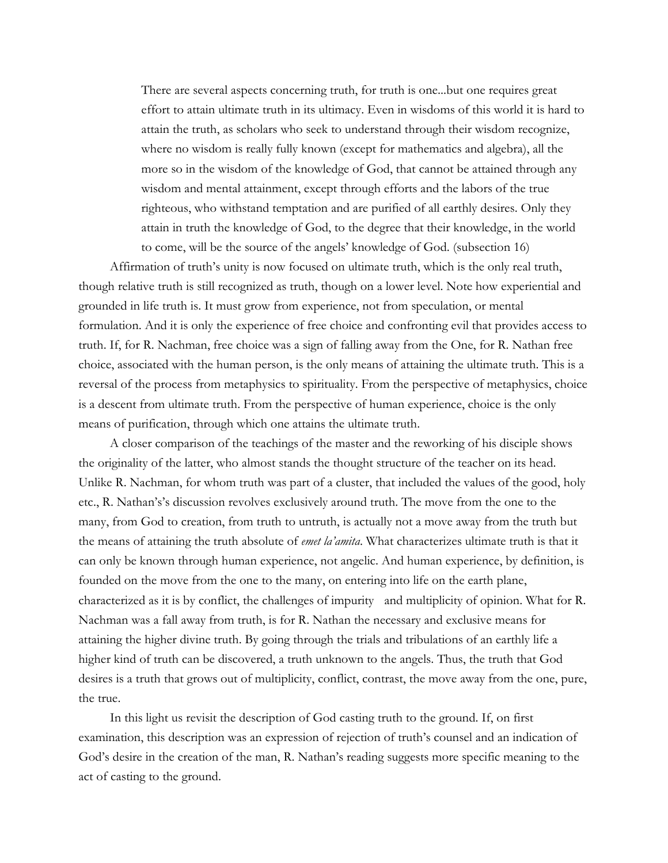There are several aspects concerning truth, for truth is one...but one requires great effort to attain ultimate truth in its ultimacy. Even in wisdoms of this world it is hard to attain the truth, as scholars who seek to understand through their wisdom recognize, where no wisdom is really fully known (except for mathematics and algebra), all the more so in the wisdom of the knowledge of God, that cannot be attained through any wisdom and mental attainment, except through efforts and the labors of the true righteous, who withstand temptation and are purified of all earthly desires. Only they attain in truth the knowledge of God, to the degree that their knowledge, in the world to come, will be the source of the angels' knowledge of God. (subsection 16)

Affirmation of truth's unity is now focused on ultimate truth, which is the only real truth, though relative truth is still recognized as truth, though on a lower level. Note how experiential and grounded in life truth is. It must grow from experience, not from speculation, or mental formulation. And it is only the experience of free choice and confronting evil that provides access to truth. If, for R. Nachman, free choice was a sign of falling away from the One, for R. Nathan free choice, associated with the human person, is the only means of attaining the ultimate truth. This is a reversal of the process from metaphysics to spirituality. From the perspective of metaphysics, choice is a descent from ultimate truth. From the perspective of human experience, choice is the only means of purification, through which one attains the ultimate truth.

A closer comparison of the teachings of the master and the reworking of his disciple shows the originality of the latter, who almost stands the thought structure of the teacher on its head. Unlike R. Nachman, for whom truth was part of a cluster, that included the values of the good, holy etc., R. Nathan's's discussion revolves exclusively around truth. The move from the one to the many, from God to creation, from truth to untruth, is actually not a move away from the truth but the means of attaining the truth absolute of *emet la'amita*. What characterizes ultimate truth is that it can only be known through human experience, not angelic. And human experience, by definition, is founded on the move from the one to the many, on entering into life on the earth plane, characterized as it is by conflict, the challenges of impurity and multiplicity of opinion. What for R. Nachman was a fall away from truth, is for R. Nathan the necessary and exclusive means for attaining the higher divine truth. By going through the trials and tribulations of an earthly life a higher kind of truth can be discovered, a truth unknown to the angels. Thus, the truth that God desires is a truth that grows out of multiplicity, conflict, contrast, the move away from the one, pure, the true.

In this light us revisit the description of God casting truth to the ground. If, on first examination, this description was an expression of rejection of truth's counsel and an indication of God's desire in the creation of the man, R. Nathan's reading suggests more specific meaning to the act of casting to the ground.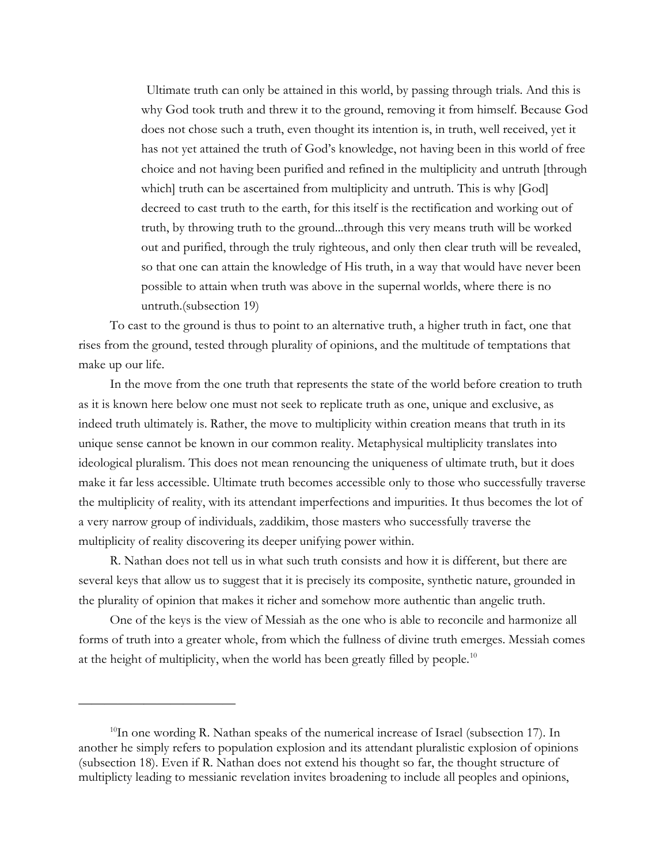Ultimate truth can only be attained in this world, by passing through trials. And this is why God took truth and threw it to the ground, removing it from himself. Because God does not chose such a truth, even thought its intention is, in truth, well received, yet it has not yet attained the truth of God's knowledge, not having been in this world of free choice and not having been purified and refined in the multiplicity and untruth [through which] truth can be ascertained from multiplicity and untruth. This is why [God] decreed to cast truth to the earth, for this itself is the rectification and working out of truth, by throwing truth to the ground...through this very means truth will be worked out and purified, through the truly righteous, and only then clear truth will be revealed, so that one can attain the knowledge of His truth, in a way that would have never been possible to attain when truth was above in the supernal worlds, where there is no untruth.(subsection 19)

To cast to the ground is thus to point to an alternative truth, a higher truth in fact, one that rises from the ground, tested through plurality of opinions, and the multitude of temptations that make up our life.

In the move from the one truth that represents the state of the world before creation to truth as it is known here below one must not seek to replicate truth as one, unique and exclusive, as indeed truth ultimately is. Rather, the move to multiplicity within creation means that truth in its unique sense cannot be known in our common reality. Metaphysical multiplicity translates into ideological pluralism. This does not mean renouncing the uniqueness of ultimate truth, but it does make it far less accessible. Ultimate truth becomes accessible only to those who successfully traverse the multiplicity of reality, with its attendant imperfections and impurities. It thus becomes the lot of a very narrow group of individuals, zaddikim, those masters who successfully traverse the multiplicity of reality discovering its deeper unifying power within.

R. Nathan does not tell us in what such truth consists and how it is different, but there are several keys that allow us to suggest that it is precisely its composite, synthetic nature, grounded in the plurality of opinion that makes it richer and somehow more authentic than angelic truth.

One of the keys is the view of Messiah as the one who is able to reconcile and harmonize all forms of truth into a greater whole, from which the fullness of divine truth emerges. Messiah comes at the height of multiplicity, when the world has been greatly filled by people.<sup>[10](#page-10-0)</sup>

<span id="page-10-0"></span> $^{10}$ In one wording R. Nathan speaks of the numerical increase of Israel (subsection 17). In another he simply refers to population explosion and its attendant pluralistic explosion of opinions (subsection 18). Even if R. Nathan does not extend his thought so far, the thought structure of multiplicty leading to messianic revelation invites broadening to include all peoples and opinions,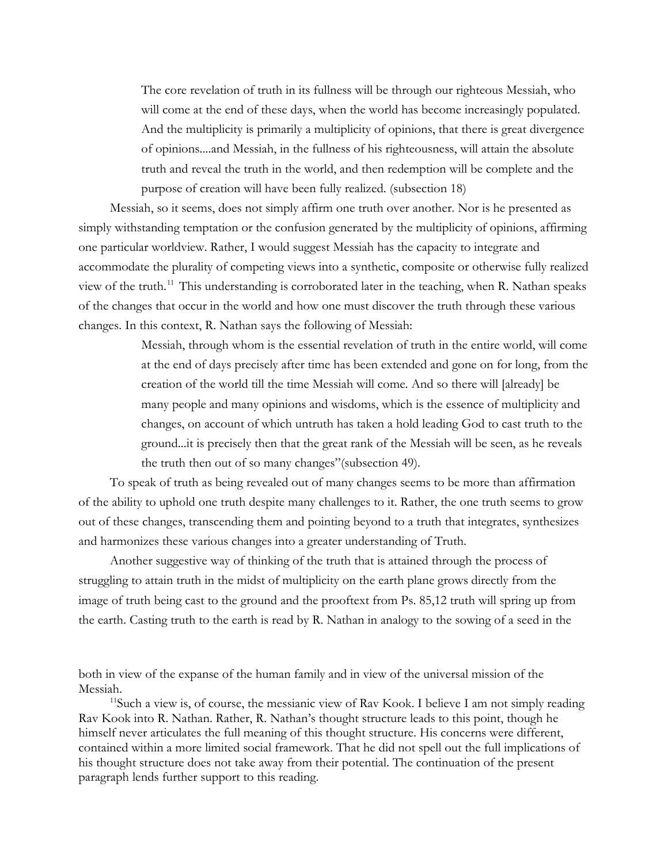The core revelation of truth in its fullness will be through our righteous Messiah, who will come at the end of these days, when the world has become increasingly populated. And the multiplicity is primarily a multiplicity of opinions, that there is great divergence of opinions....and Messiah, in the fullness of his righteousness, will attain the absolute truth and reveal the truth in the world, and then redemption will be complete and the purpose of creation will have been fully realized. (subsection 18)

Messiah, so it seems, does not simply affirm one truth over another. Nor is he presented as simply withstanding temptation or the confusion generated by the multiplicity of opinions, affirming one particular worldview. Rather, I would suggest Messiah has the capacity to integrate and accommodate the plurality of competing views into a synthetic, composite or otherwise fully realized view of the truth.<sup>[11](#page-11-0)</sup> This understanding is corroborated later in the teaching, when R. Nathan speaks of the changes that occur in the world and how one must discover the truth through these various changes. In this context, R. Nathan says the following of Messiah:

> Messiah, through whom is the essential revelation of truth in the entire world, will come at the end of days precisely after time has been extended and gone on for long, from the creation of the world till the time Messiah will come. And so there will [already] be many people and many opinions and wisdoms, which is the essence of multiplicity and changes, on account of which untruth has taken a hold leading God to cast truth to the ground...it is precisely then that the great rank of the Messiah will be seen, as he reveals the truth then out of so many changes"(subsection 49).

To speak of truth as being revealed out of many changes seems to be more than affirmation of the ability to uphold one truth despite many challenges to it. Rather, the one truth seems to grow out of these changes, transcending them and pointing beyond to a truth that integrates, synthesizes and harmonizes these various changes into a greater understanding of Truth.

Another suggestive way of thinking of the truth that is attained through the process of struggling to attain truth in the midst of multiplicity on the earth plane grows directly from the image of truth being cast to the ground and the prooftext from Ps. 85,12 truth will spring up from the earth. Casting truth to the earth is read by R. Nathan in analogy to the sowing of a seed in the

both in view of the expanse of the human family and in view of the universal mission of the Messiah.<br><sup>11</sup>Such a view is, of course, the messianic view of Rav Kook. I believe I am not simply reading

<span id="page-11-0"></span>Rav Kook into R. Nathan. Rather, R. Nathan's thought structure leads to this point, though he himself never articulates the full meaning of this thought structure. His concerns were different, contained within a more limited social framework. That he did not spell out the full implications of his thought structure does not take away from their potential. The continuation of the present paragraph lends further support to this reading.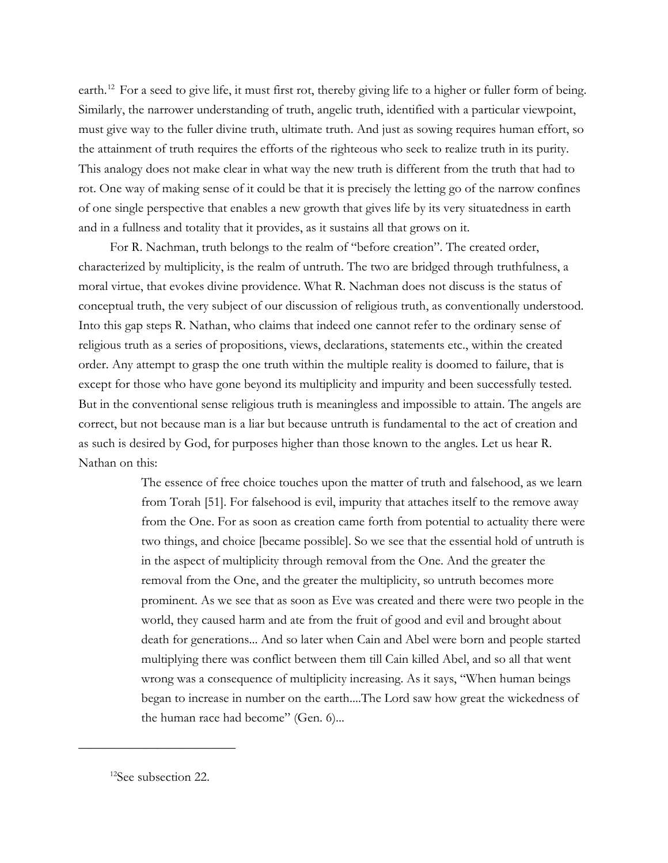earth.<sup>[12](#page-12-0)</sup> For a seed to give life, it must first rot, thereby giving life to a higher or fuller form of being. Similarly, the narrower understanding of truth, angelic truth, identified with a particular viewpoint, must give way to the fuller divine truth, ultimate truth. And just as sowing requires human effort, so the attainment of truth requires the efforts of the righteous who seek to realize truth in its purity. This analogy does not make clear in what way the new truth is different from the truth that had to rot. One way of making sense of it could be that it is precisely the letting go of the narrow confines of one single perspective that enables a new growth that gives life by its very situatedness in earth and in a fullness and totality that it provides, as it sustains all that grows on it.

For R. Nachman, truth belongs to the realm of "before creation". The created order, characterized by multiplicity, is the realm of untruth. The two are bridged through truthfulness, a moral virtue, that evokes divine providence. What R. Nachman does not discuss is the status of conceptual truth, the very subject of our discussion of religious truth, as conventionally understood. Into this gap steps R. Nathan, who claims that indeed one cannot refer to the ordinary sense of religious truth as a series of propositions, views, declarations, statements etc., within the created order. Any attempt to grasp the one truth within the multiple reality is doomed to failure, that is except for those who have gone beyond its multiplicity and impurity and been successfully tested. But in the conventional sense religious truth is meaningless and impossible to attain. The angels are correct, but not because man is a liar but because untruth is fundamental to the act of creation and as such is desired by God, for purposes higher than those known to the angles. Let us hear R. Nathan on this:

> The essence of free choice touches upon the matter of truth and falsehood, as we learn from Torah [51]. For falsehood is evil, impurity that attaches itself to the remove away from the One. For as soon as creation came forth from potential to actuality there were two things, and choice [became possible]. So we see that the essential hold of untruth is in the aspect of multiplicity through removal from the One. And the greater the removal from the One, and the greater the multiplicity, so untruth becomes more prominent. As we see that as soon as Eve was created and there were two people in the world, they caused harm and ate from the fruit of good and evil and brought about death for generations... And so later when Cain and Abel were born and people started multiplying there was conflict between them till Cain killed Abel, and so all that went wrong was a consequence of multiplicity increasing. As it says, "When human beings began to increase in number on the earth....The Lord saw how great the wickedness of the human race had become" (Gen. 6)...

<span id="page-12-0"></span><sup>&</sup>lt;sup>12</sup>See subsection 22.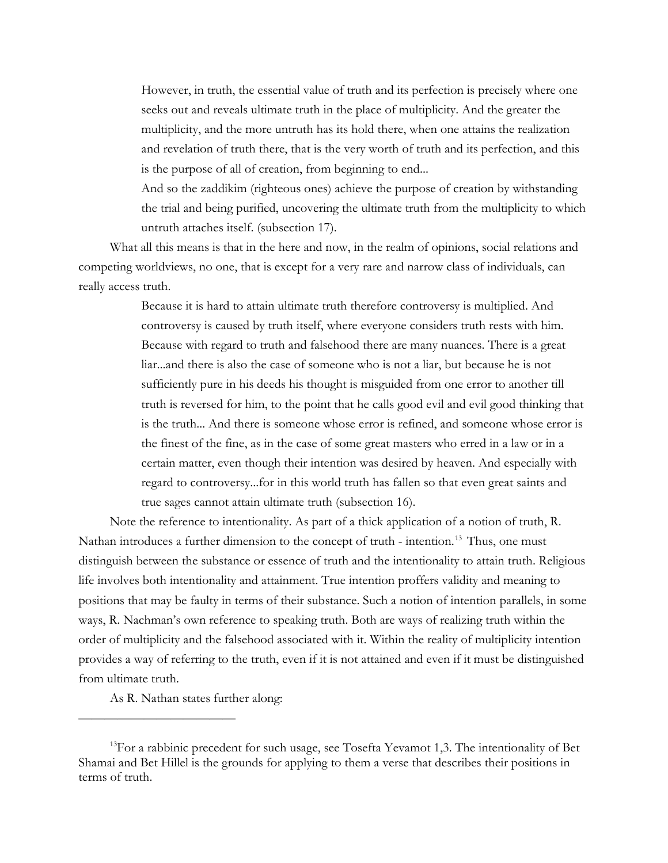However, in truth, the essential value of truth and its perfection is precisely where one seeks out and reveals ultimate truth in the place of multiplicity. And the greater the multiplicity, and the more untruth has its hold there, when one attains the realization and revelation of truth there, that is the very worth of truth and its perfection, and this is the purpose of all of creation, from beginning to end...

And so the zaddikim (righteous ones) achieve the purpose of creation by withstanding the trial and being purified, uncovering the ultimate truth from the multiplicity to which untruth attaches itself. (subsection 17).

What all this means is that in the here and now, in the realm of opinions, social relations and competing worldviews, no one, that is except for a very rare and narrow class of individuals, can really access truth.

> Because it is hard to attain ultimate truth therefore controversy is multiplied. And controversy is caused by truth itself, where everyone considers truth rests with him. Because with regard to truth and falsehood there are many nuances. There is a great liar...and there is also the case of someone who is not a liar, but because he is not sufficiently pure in his deeds his thought is misguided from one error to another till truth is reversed for him, to the point that he calls good evil and evil good thinking that is the truth... And there is someone whose error is refined, and someone whose error is the finest of the fine, as in the case of some great masters who erred in a law or in a certain matter, even though their intention was desired by heaven. And especially with regard to controversy...for in this world truth has fallen so that even great saints and true sages cannot attain ultimate truth (subsection 16).

Note the reference to intentionality. As part of a thick application of a notion of truth, R. Nathan introduces a further dimension to the concept of truth - intention.<sup>[13](#page-13-0)</sup> Thus, one must distinguish between the substance or essence of truth and the intentionality to attain truth. Religious life involves both intentionality and attainment. True intention proffers validity and meaning to positions that may be faulty in terms of their substance. Such a notion of intention parallels, in some ways, R. Nachman's own reference to speaking truth. Both are ways of realizing truth within the order of multiplicity and the falsehood associated with it. Within the reality of multiplicity intention provides a way of referring to the truth, even if it is not attained and even if it must be distinguished from ultimate truth.

As R. Nathan states further along:

<span id="page-13-0"></span> $13$ For a rabbinic precedent for such usage, see Tosefta Yevamot 1,3. The intentionality of Bet Shamai and Bet Hillel is the grounds for applying to them a verse that describes their positions in terms of truth.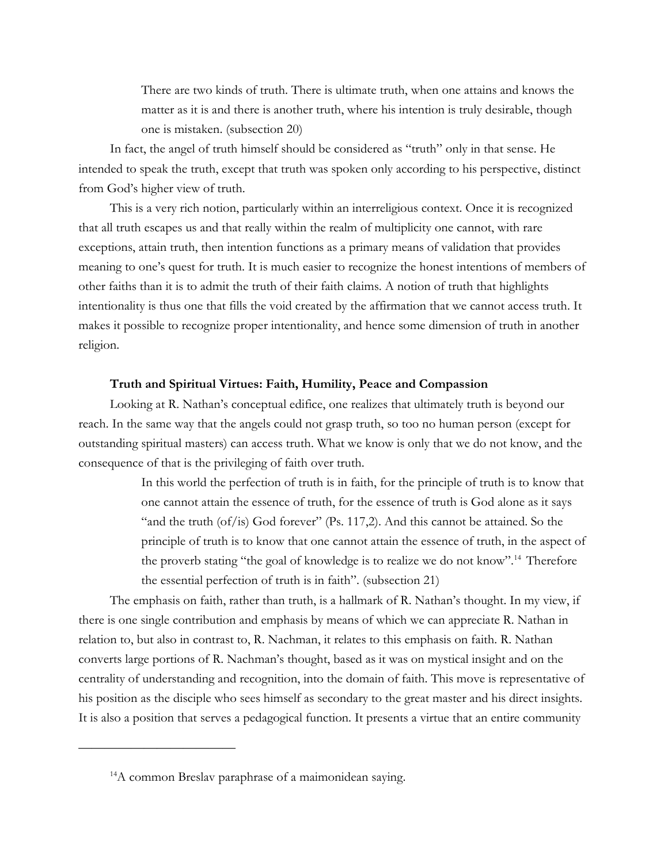There are two kinds of truth. There is ultimate truth, when one attains and knows the matter as it is and there is another truth, where his intention is truly desirable, though one is mistaken. (subsection 20)

In fact, the angel of truth himself should be considered as "truth" only in that sense. He intended to speak the truth, except that truth was spoken only according to his perspective, distinct from God's higher view of truth.

This is a very rich notion, particularly within an interreligious context. Once it is recognized that all truth escapes us and that really within the realm of multiplicity one cannot, with rare exceptions, attain truth, then intention functions as a primary means of validation that provides meaning to one's quest for truth. It is much easier to recognize the honest intentions of members of other faiths than it is to admit the truth of their faith claims. A notion of truth that highlights intentionality is thus one that fills the void created by the affirmation that we cannot access truth. It makes it possible to recognize proper intentionality, and hence some dimension of truth in another religion.

## **Truth and Spiritual Virtues: Faith, Humility, Peace and Compassion**

Looking at R. Nathan's conceptual edifice, one realizes that ultimately truth is beyond our reach. In the same way that the angels could not grasp truth, so too no human person (except for outstanding spiritual masters) can access truth. What we know is only that we do not know, and the consequence of that is the privileging of faith over truth.

> In this world the perfection of truth is in faith, for the principle of truth is to know that one cannot attain the essence of truth, for the essence of truth is God alone as it says "and the truth (of/is) God forever" (Ps. 117,2). And this cannot be attained. So the principle of truth is to know that one cannot attain the essence of truth, in the aspect of the proverb stating "the goal of knowledge is to realize we do not know".<sup>[14](#page-14-0)</sup> Therefore the essential perfection of truth is in faith". (subsection 21)

The emphasis on faith, rather than truth, is a hallmark of R. Nathan's thought. In my view, if there is one single contribution and emphasis by means of which we can appreciate R. Nathan in relation to, but also in contrast to, R. Nachman, it relates to this emphasis on faith. R. Nathan converts large portions of R. Nachman's thought, based as it was on mystical insight and on the centrality of understanding and recognition, into the domain of faith. This move is representative of his position as the disciple who sees himself as secondary to the great master and his direct insights. It is also a position that serves a pedagogical function. It presents a virtue that an entire community

<span id="page-14-0"></span><sup>&</sup>lt;sup>14</sup>A common Breslav paraphrase of a maimonidean saying.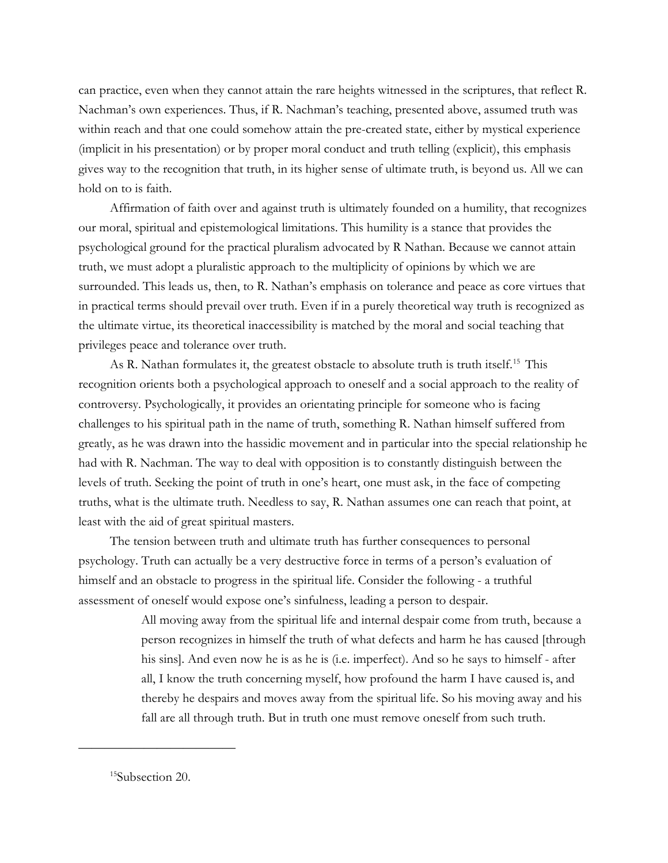can practice, even when they cannot attain the rare heights witnessed in the scriptures, that reflect R. Nachman's own experiences. Thus, if R. Nachman's teaching, presented above, assumed truth was within reach and that one could somehow attain the pre-created state, either by mystical experience (implicit in his presentation) or by proper moral conduct and truth telling (explicit), this emphasis gives way to the recognition that truth, in its higher sense of ultimate truth, is beyond us. All we can hold on to is faith.

Affirmation of faith over and against truth is ultimately founded on a humility, that recognizes our moral, spiritual and epistemological limitations. This humility is a stance that provides the psychological ground for the practical pluralism advocated by R Nathan. Because we cannot attain truth, we must adopt a pluralistic approach to the multiplicity of opinions by which we are surrounded. This leads us, then, to R. Nathan's emphasis on tolerance and peace as core virtues that in practical terms should prevail over truth. Even if in a purely theoretical way truth is recognized as the ultimate virtue, its theoretical inaccessibility is matched by the moral and social teaching that privileges peace and tolerance over truth.

As R. Nathan formulates it, the greatest obstacle to absolute truth is truth itself.<sup>[15](#page-15-0)</sup> This recognition orients both a psychological approach to oneself and a social approach to the reality of controversy. Psychologically, it provides an orientating principle for someone who is facing challenges to his spiritual path in the name of truth, something R. Nathan himself suffered from greatly, as he was drawn into the hassidic movement and in particular into the special relationship he had with R. Nachman. The way to deal with opposition is to constantly distinguish between the levels of truth. Seeking the point of truth in one's heart, one must ask, in the face of competing truths, what is the ultimate truth. Needless to say, R. Nathan assumes one can reach that point, at least with the aid of great spiritual masters.

The tension between truth and ultimate truth has further consequences to personal psychology. Truth can actually be a very destructive force in terms of a person's evaluation of himself and an obstacle to progress in the spiritual life. Consider the following - a truthful assessment of oneself would expose one's sinfulness, leading a person to despair.

> All moving away from the spiritual life and internal despair come from truth, because a person recognizes in himself the truth of what defects and harm he has caused [through his sins]. And even now he is as he is (i.e. imperfect). And so he says to himself - after all, I know the truth concerning myself, how profound the harm I have caused is, and thereby he despairs and moves away from the spiritual life. So his moving away and his fall are all through truth. But in truth one must remove oneself from such truth.

<span id="page-15-0"></span><sup>&</sup>lt;sup>15</sup>Subsection 20.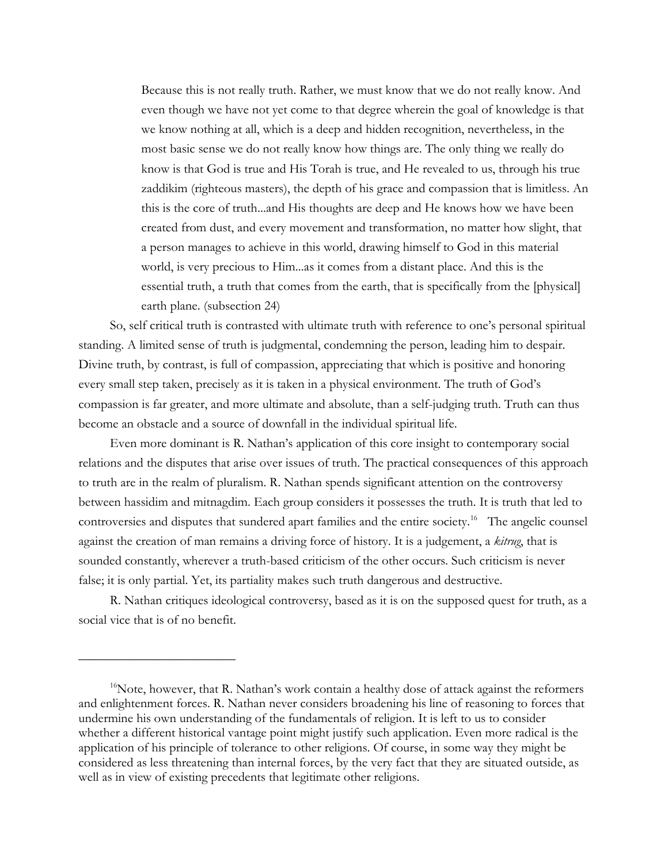Because this is not really truth. Rather, we must know that we do not really know. And even though we have not yet come to that degree wherein the goal of knowledge is that we know nothing at all, which is a deep and hidden recognition, nevertheless, in the most basic sense we do not really know how things are. The only thing we really do know is that God is true and His Torah is true, and He revealed to us, through his true zaddikim (righteous masters), the depth of his grace and compassion that is limitless. An this is the core of truth...and His thoughts are deep and He knows how we have been created from dust, and every movement and transformation, no matter how slight, that a person manages to achieve in this world, drawing himself to God in this material world, is very precious to Him...as it comes from a distant place. And this is the essential truth, a truth that comes from the earth, that is specifically from the [physical] earth plane. (subsection 24)

So, self critical truth is contrasted with ultimate truth with reference to one's personal spiritual standing. A limited sense of truth is judgmental, condemning the person, leading him to despair. Divine truth, by contrast, is full of compassion, appreciating that which is positive and honoring every small step taken, precisely as it is taken in a physical environment. The truth of God's compassion is far greater, and more ultimate and absolute, than a self-judging truth. Truth can thus become an obstacle and a source of downfall in the individual spiritual life.

Even more dominant is R. Nathan's application of this core insight to contemporary social relations and the disputes that arise over issues of truth. The practical consequences of this approach to truth are in the realm of pluralism. R. Nathan spends significant attention on the controversy between hassidim and mitnagdim. Each group considers it possesses the truth. It is truth that led to controversies and disputes that sundered apart families and the entire society.<sup>16</sup> The angelic counsel against the creation of man remains a driving force of history. It is a judgement, a *kitrug*, that is sounded constantly, wherever a truth-based criticism of the other occurs. Such criticism is never false; it is only partial. Yet, its partiality makes such truth dangerous and destructive.

R. Nathan critiques ideological controversy, based as it is on the supposed quest for truth, as a social vice that is of no benefit.

<span id="page-16-0"></span> $16$ Note, however, that R. Nathan's work contain a healthy dose of attack against the reformers and enlightenment forces. R. Nathan never considers broadening his line of reasoning to forces that undermine his own understanding of the fundamentals of religion. It is left to us to consider whether a different historical vantage point might justify such application. Even more radical is the application of his principle of tolerance to other religions. Of course, in some way they might be considered as less threatening than internal forces, by the very fact that they are situated outside, as well as in view of existing precedents that legitimate other religions.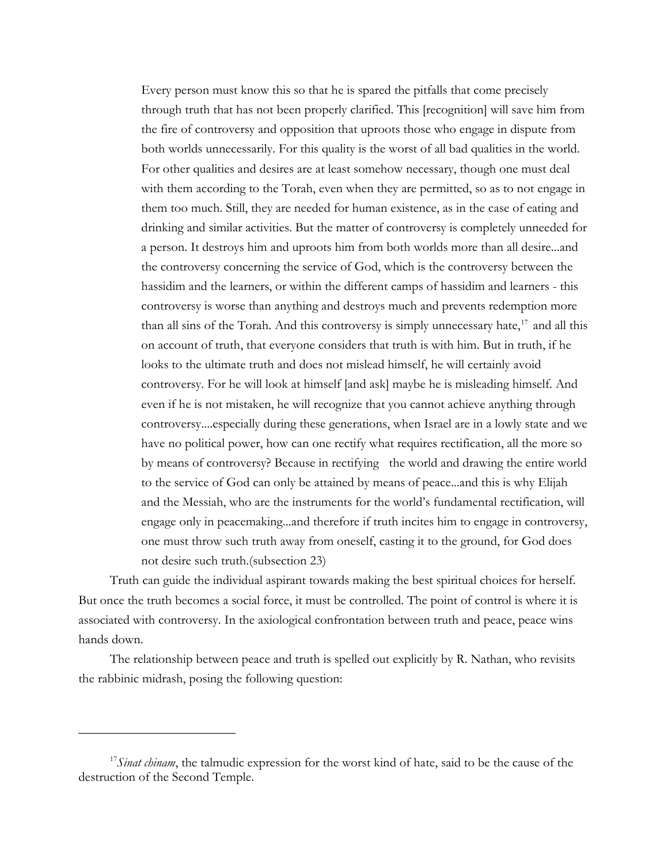Every person must know this so that he is spared the pitfalls that come precisely through truth that has not been properly clarified. This [recognition] will save him from the fire of controversy and opposition that uproots those who engage in dispute from both worlds unnecessarily. For this quality is the worst of all bad qualities in the world. For other qualities and desires are at least somehow necessary, though one must deal with them according to the Torah, even when they are permitted, so as to not engage in them too much. Still, they are needed for human existence, as in the case of eating and drinking and similar activities. But the matter of controversy is completely unneeded for a person. It destroys him and uproots him from both worlds more than all desire...and the controversy concerning the service of God, which is the controversy between the hassidim and the learners, or within the different camps of hassidim and learners - this controversy is worse than anything and destroys much and prevents redemption more than all sins of the Torah. And this controversy is simply unnecessary hate, $17$  and all this on account of truth, that everyone considers that truth is with him. But in truth, if he looks to the ultimate truth and does not mislead himself, he will certainly avoid controversy. For he will look at himself [and ask] maybe he is misleading himself. And even if he is not mistaken, he will recognize that you cannot achieve anything through controversy....especially during these generations, when Israel are in a lowly state and we have no political power, how can one rectify what requires rectification, all the more so by means of controversy? Because in rectifying the world and drawing the entire world to the service of God can only be attained by means of peace...and this is why Elijah and the Messiah, who are the instruments for the world's fundamental rectification, will engage only in peacemaking...and therefore if truth incites him to engage in controversy, one must throw such truth away from oneself, casting it to the ground, for God does not desire such truth.(subsection 23)

Truth can guide the individual aspirant towards making the best spiritual choices for herself. But once the truth becomes a social force, it must be controlled. The point of control is where it is associated with controversy. In the axiological confrontation between truth and peace, peace wins hands down.

The relationship between peace and truth is spelled out explicitly by R. Nathan, who revisits the rabbinic midrash, posing the following question:

<span id="page-17-0"></span><sup>&</sup>lt;sup>17</sup>Sinat chinam, the talmudic expression for the worst kind of hate, said to be the cause of the destruction of the Second Temple.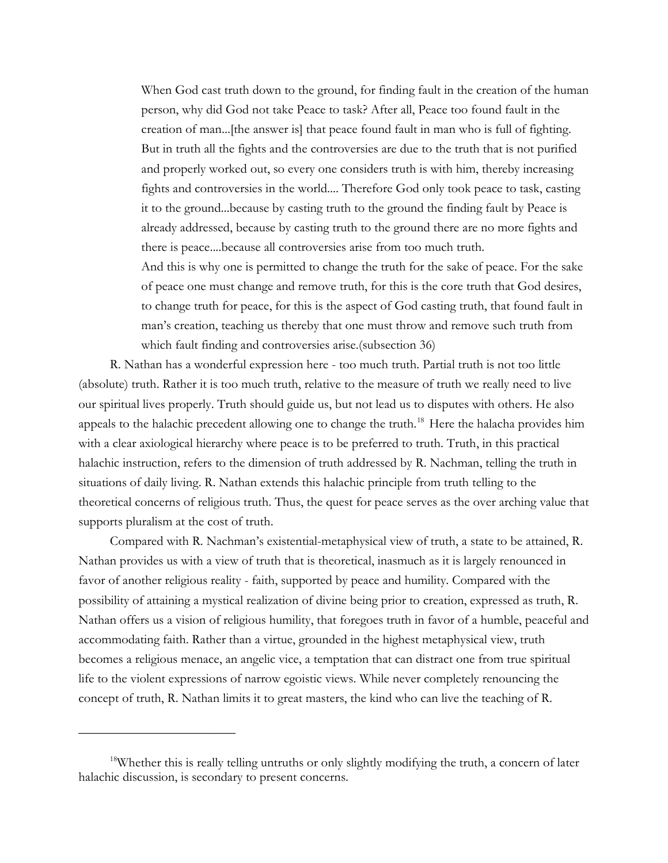When God cast truth down to the ground, for finding fault in the creation of the human person, why did God not take Peace to task? After all, Peace too found fault in the creation of man...[the answer is] that peace found fault in man who is full of fighting. But in truth all the fights and the controversies are due to the truth that is not purified and properly worked out, so every one considers truth is with him, thereby increasing fights and controversies in the world.... Therefore God only took peace to task, casting it to the ground...because by casting truth to the ground the finding fault by Peace is already addressed, because by casting truth to the ground there are no more fights and there is peace....because all controversies arise from too much truth.

And this is why one is permitted to change the truth for the sake of peace. For the sake of peace one must change and remove truth, for this is the core truth that God desires, to change truth for peace, for this is the aspect of God casting truth, that found fault in man's creation, teaching us thereby that one must throw and remove such truth from which fault finding and controversies arise.(subsection 36)

R. Nathan has a wonderful expression here - too much truth. Partial truth is not too little (absolute) truth. Rather it is too much truth, relative to the measure of truth we really need to live our spiritual lives properly. Truth should guide us, but not lead us to disputes with others. He also appeals to the halachic precedent allowing one to change the truth.<sup>[18](#page-18-0)</sup> Here the halacha provides him with a clear axiological hierarchy where peace is to be preferred to truth. Truth, in this practical halachic instruction, refers to the dimension of truth addressed by R. Nachman, telling the truth in situations of daily living. R. Nathan extends this halachic principle from truth telling to the theoretical concerns of religious truth. Thus, the quest for peace serves as the over arching value that supports pluralism at the cost of truth.

Compared with R. Nachman's existential-metaphysical view of truth, a state to be attained, R. Nathan provides us with a view of truth that is theoretical, inasmuch as it is largely renounced in favor of another religious reality - faith, supported by peace and humility. Compared with the possibility of attaining a mystical realization of divine being prior to creation, expressed as truth, R. Nathan offers us a vision of religious humility, that foregoes truth in favor of a humble, peaceful and accommodating faith. Rather than a virtue, grounded in the highest metaphysical view, truth becomes a religious menace, an angelic vice, a temptation that can distract one from true spiritual life to the violent expressions of narrow egoistic views. While never completely renouncing the concept of truth, R. Nathan limits it to great masters, the kind who can live the teaching of R.

<span id="page-18-0"></span><sup>&</sup>lt;sup>18</sup>Whether this is really telling untruths or only slightly modifying the truth, a concern of later halachic discussion, is secondary to present concerns.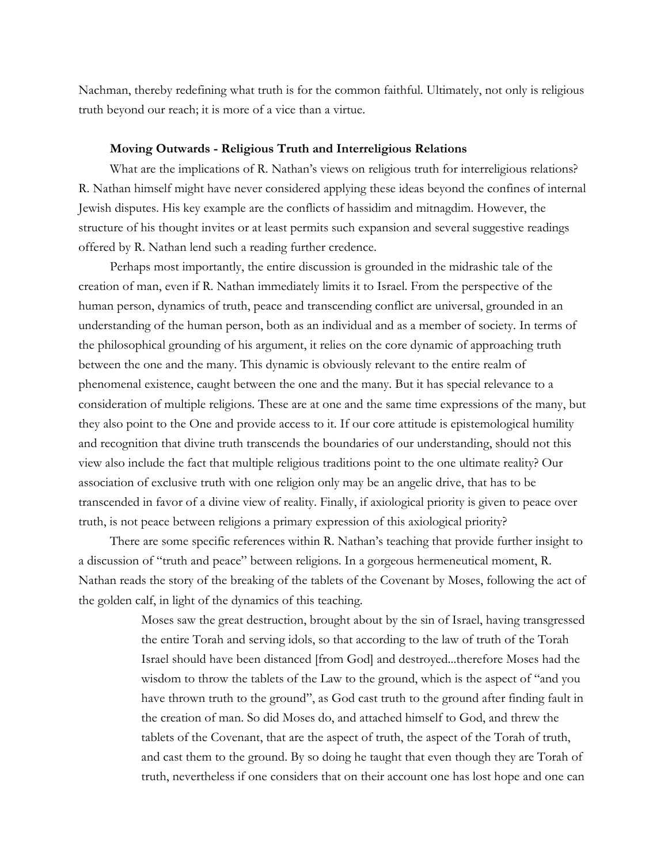Nachman, thereby redefining what truth is for the common faithful. Ultimately, not only is religious truth beyond our reach; it is more of a vice than a virtue.

#### **Moving Outwards - Religious Truth and Interreligious Relations**

What are the implications of R. Nathan's views on religious truth for interreligious relations? R. Nathan himself might have never considered applying these ideas beyond the confines of internal Jewish disputes. His key example are the conflicts of hassidim and mitnagdim. However, the structure of his thought invites or at least permits such expansion and several suggestive readings offered by R. Nathan lend such a reading further credence.

Perhaps most importantly, the entire discussion is grounded in the midrashic tale of the creation of man, even if R. Nathan immediately limits it to Israel. From the perspective of the human person, dynamics of truth, peace and transcending conflict are universal, grounded in an understanding of the human person, both as an individual and as a member of society. In terms of the philosophical grounding of his argument, it relies on the core dynamic of approaching truth between the one and the many. This dynamic is obviously relevant to the entire realm of phenomenal existence, caught between the one and the many. But it has special relevance to a consideration of multiple religions. These are at one and the same time expressions of the many, but they also point to the One and provide access to it. If our core attitude is epistemological humility and recognition that divine truth transcends the boundaries of our understanding, should not this view also include the fact that multiple religious traditions point to the one ultimate reality? Our association of exclusive truth with one religion only may be an angelic drive, that has to be transcended in favor of a divine view of reality. Finally, if axiological priority is given to peace over truth, is not peace between religions a primary expression of this axiological priority?

There are some specific references within R. Nathan's teaching that provide further insight to a discussion of "truth and peace" between religions. In a gorgeous hermeneutical moment, R. Nathan reads the story of the breaking of the tablets of the Covenant by Moses, following the act of the golden calf, in light of the dynamics of this teaching.

> Moses saw the great destruction, brought about by the sin of Israel, having transgressed the entire Torah and serving idols, so that according to the law of truth of the Torah Israel should have been distanced [from God] and destroyed...therefore Moses had the wisdom to throw the tablets of the Law to the ground, which is the aspect of "and you have thrown truth to the ground", as God cast truth to the ground after finding fault in the creation of man. So did Moses do, and attached himself to God, and threw the tablets of the Covenant, that are the aspect of truth, the aspect of the Torah of truth, and cast them to the ground. By so doing he taught that even though they are Torah of truth, nevertheless if one considers that on their account one has lost hope and one can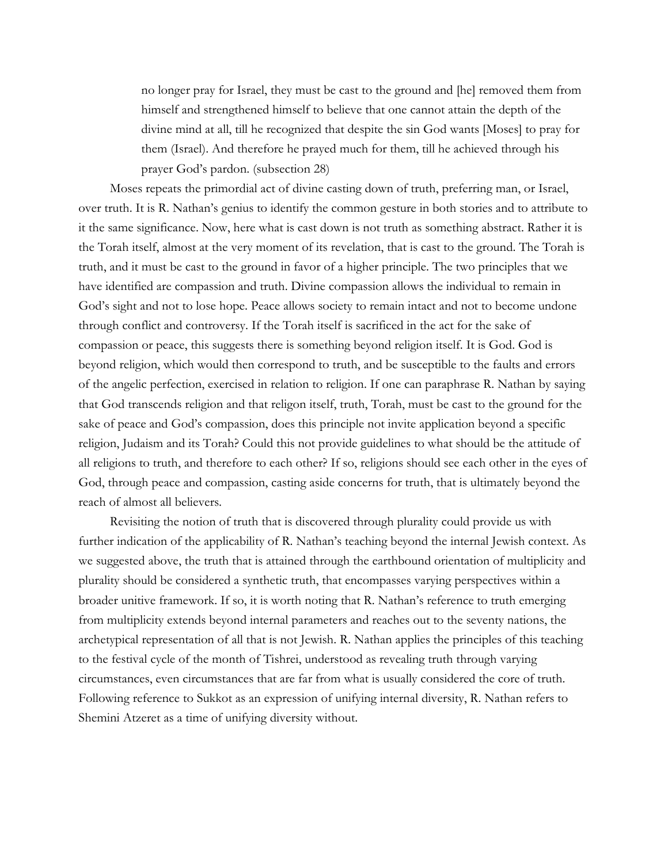no longer pray for Israel, they must be cast to the ground and [he] removed them from himself and strengthened himself to believe that one cannot attain the depth of the divine mind at all, till he recognized that despite the sin God wants [Moses] to pray for them (Israel). And therefore he prayed much for them, till he achieved through his prayer God's pardon. (subsection 28)

Moses repeats the primordial act of divine casting down of truth, preferring man, or Israel, over truth. It is R. Nathan's genius to identify the common gesture in both stories and to attribute to it the same significance. Now, here what is cast down is not truth as something abstract. Rather it is the Torah itself, almost at the very moment of its revelation, that is cast to the ground. The Torah is truth, and it must be cast to the ground in favor of a higher principle. The two principles that we have identified are compassion and truth. Divine compassion allows the individual to remain in God's sight and not to lose hope. Peace allows society to remain intact and not to become undone through conflict and controversy. If the Torah itself is sacrificed in the act for the sake of compassion or peace, this suggests there is something beyond religion itself. It is God. God is beyond religion, which would then correspond to truth, and be susceptible to the faults and errors of the angelic perfection, exercised in relation to religion. If one can paraphrase R. Nathan by saying that God transcends religion and that religon itself, truth, Torah, must be cast to the ground for the sake of peace and God's compassion, does this principle not invite application beyond a specific religion, Judaism and its Torah? Could this not provide guidelines to what should be the attitude of all religions to truth, and therefore to each other? If so, religions should see each other in the eyes of God, through peace and compassion, casting aside concerns for truth, that is ultimately beyond the reach of almost all believers.

Revisiting the notion of truth that is discovered through plurality could provide us with further indication of the applicability of R. Nathan's teaching beyond the internal Jewish context. As we suggested above, the truth that is attained through the earthbound orientation of multiplicity and plurality should be considered a synthetic truth, that encompasses varying perspectives within a broader unitive framework. If so, it is worth noting that R. Nathan's reference to truth emerging from multiplicity extends beyond internal parameters and reaches out to the seventy nations, the archetypical representation of all that is not Jewish. R. Nathan applies the principles of this teaching to the festival cycle of the month of Tishrei, understood as revealing truth through varying circumstances, even circumstances that are far from what is usually considered the core of truth. Following reference to Sukkot as an expression of unifying internal diversity, R. Nathan refers to Shemini Atzeret as a time of unifying diversity without.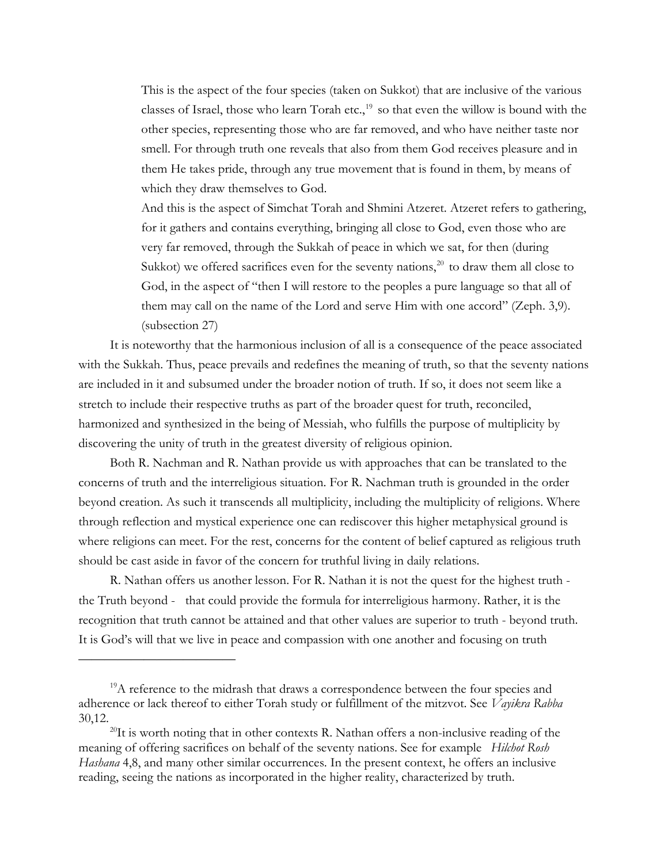This is the aspect of the four species (taken on Sukkot) that are inclusive of the various classes of Israel, those who learn Torah etc., $19$  so that even the willow is bound with the other species, representing those who are far removed, and who have neither taste nor smell. For through truth one reveals that also from them God receives pleasure and in them He takes pride, through any true movement that is found in them, by means of which they draw themselves to God.

And this is the aspect of Simchat Torah and Shmini Atzeret. Atzeret refers to gathering, for it gathers and contains everything, bringing all close to God, even those who are very far removed, through the Sukkah of peace in which we sat, for then (during Sukkot) we offered sacrifices even for the seventy nations, $^{20}$  $^{20}$  $^{20}$  to draw them all close to God, in the aspect of "then I will restore to the peoples a pure language so that all of them may call on the name of the Lord and serve Him with one accord" (Zeph. 3,9). (subsection 27)

It is noteworthy that the harmonious inclusion of all is a consequence of the peace associated with the Sukkah. Thus, peace prevails and redefines the meaning of truth, so that the seventy nations are included in it and subsumed under the broader notion of truth. If so, it does not seem like a stretch to include their respective truths as part of the broader quest for truth, reconciled, harmonized and synthesized in the being of Messiah, who fulfills the purpose of multiplicity by discovering the unity of truth in the greatest diversity of religious opinion.

Both R. Nachman and R. Nathan provide us with approaches that can be translated to the concerns of truth and the interreligious situation. For R. Nachman truth is grounded in the order beyond creation. As such it transcends all multiplicity, including the multiplicity of religions. Where through reflection and mystical experience one can rediscover this higher metaphysical ground is where religions can meet. For the rest, concerns for the content of belief captured as religious truth should be cast aside in favor of the concern for truthful living in daily relations.

R. Nathan offers us another lesson. For R. Nathan it is not the quest for the highest truth the Truth beyond - that could provide the formula for interreligious harmony. Rather, it is the recognition that truth cannot be attained and that other values are superior to truth - beyond truth. It is God's will that we live in peace and compassion with one another and focusing on truth

<span id="page-21-0"></span><sup>&</sup>lt;sup>19</sup>A reference to the midrash that draws a correspondence between the four species and adherence or lack thereof to either Torah study or fulfillment of the mitzvot. See *Vayikra Rabba*  30,12.

<span id="page-21-1"></span><sup>&</sup>lt;sup>20</sup>It is worth noting that in other contexts R. Nathan offers a non-inclusive reading of the meaning of offering sacrifices on behalf of the seventy nations. See for example *Hilchot Rosh Hashana* 4,8, and many other similar occurrences. In the present context, he offers an inclusive reading, seeing the nations as incorporated in the higher reality, characterized by truth.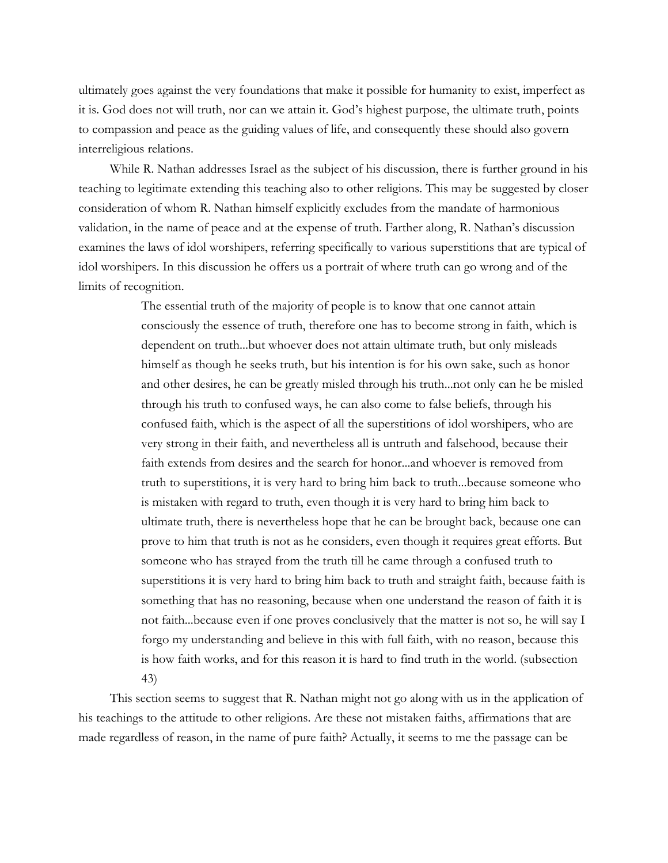ultimately goes against the very foundations that make it possible for humanity to exist, imperfect as it is. God does not will truth, nor can we attain it. God's highest purpose, the ultimate truth, points to compassion and peace as the guiding values of life, and consequently these should also govern interreligious relations.

While R. Nathan addresses Israel as the subject of his discussion, there is further ground in his teaching to legitimate extending this teaching also to other religions. This may be suggested by closer consideration of whom R. Nathan himself explicitly excludes from the mandate of harmonious validation, in the name of peace and at the expense of truth. Farther along, R. Nathan's discussion examines the laws of idol worshipers, referring specifically to various superstitions that are typical of idol worshipers. In this discussion he offers us a portrait of where truth can go wrong and of the limits of recognition.

> The essential truth of the majority of people is to know that one cannot attain consciously the essence of truth, therefore one has to become strong in faith, which is dependent on truth...but whoever does not attain ultimate truth, but only misleads himself as though he seeks truth, but his intention is for his own sake, such as honor and other desires, he can be greatly misled through his truth...not only can he be misled through his truth to confused ways, he can also come to false beliefs, through his confused faith, which is the aspect of all the superstitions of idol worshipers, who are very strong in their faith, and nevertheless all is untruth and falsehood, because their faith extends from desires and the search for honor...and whoever is removed from truth to superstitions, it is very hard to bring him back to truth...because someone who is mistaken with regard to truth, even though it is very hard to bring him back to ultimate truth, there is nevertheless hope that he can be brought back, because one can prove to him that truth is not as he considers, even though it requires great efforts. But someone who has strayed from the truth till he came through a confused truth to superstitions it is very hard to bring him back to truth and straight faith, because faith is something that has no reasoning, because when one understand the reason of faith it is not faith...because even if one proves conclusively that the matter is not so, he will say I forgo my understanding and believe in this with full faith, with no reason, because this is how faith works, and for this reason it is hard to find truth in the world. (subsection 43)

This section seems to suggest that R. Nathan might not go along with us in the application of his teachings to the attitude to other religions. Are these not mistaken faiths, affirmations that are made regardless of reason, in the name of pure faith? Actually, it seems to me the passage can be